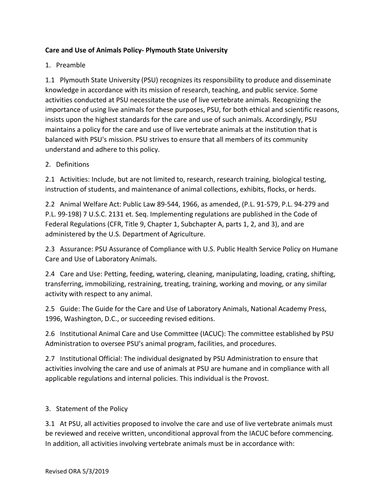## **Care and Use of Animals Policy‐ Plymouth State University**

## 1. Preamble

1.1 Plymouth State University (PSU) recognizes its responsibility to produce and disseminate knowledge in accordance with its mission of research, teaching, and public service. Some activities conducted at PSU necessitate the use of live vertebrate animals. Recognizing the importance of using live animals for these purposes, PSU, for both ethical and scientific reasons, insists upon the highest standards for the care and use of such animals. Accordingly, PSU maintains a policy for the care and use of live vertebrate animals at the institution that is balanced with PSU's mission. PSU strives to ensure that all members of its community understand and adhere to this policy.

## 2. Definitions

2.1 Activities: Include, but are not limited to, research, research training, biological testing, instruction of students, and maintenance of animal collections, exhibits, flocks, or herds.

2.2 Animal Welfare Act: Public Law 89‐544, 1966, as amended, (P.L. 91‐579, P.L. 94‐279 and P.L. 99-198) 7 U.S.C. 2131 et. Seq. Implementing regulations are published in the Code of Federal Regulations (CFR, Title 9, Chapter 1, Subchapter A, parts 1, 2, and 3), and are administered by the U.S. Department of Agriculture.

2.3 Assurance: PSU Assurance of Compliance with U.S. Public Health Service Policy on Humane Care and Use of Laboratory Animals.

2.4 Care and Use: Petting, feeding, watering, cleaning, manipulating, loading, crating, shifting, transferring, immobilizing, restraining, treating, training, working and moving, or any similar activity with respect to any animal.

2.5 Guide: The Guide for the Care and Use of Laboratory Animals, National Academy Press, 1996, Washington, D.C., or succeeding revised editions.

2.6 Institutional Animal Care and Use Committee (IACUC): The committee established by PSU Administration to oversee PSU's animal program, facilities, and procedures.

2.7 Institutional Official: The individual designated by PSU Administration to ensure that activities involving the care and use of animals at PSU are humane and in compliance with all applicable regulations and internal policies. This individual is the Provost.

## 3. Statement of the Policy

3.1 At PSU, all activities proposed to involve the care and use of live vertebrate animals must be reviewed and receive written, unconditional approval from the IACUC before commencing. In addition, all activities involving vertebrate animals must be in accordance with: